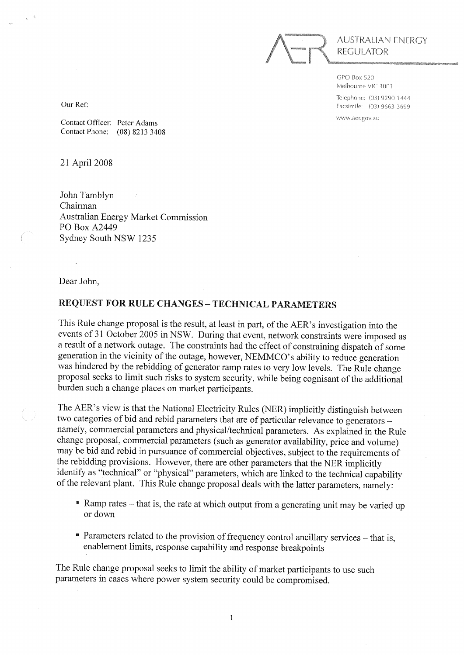

 $GPO$  Box 520 Melbourne VIC 3001 Telephone: (03) 9290 1444 Facsimile: (03) 9663 3699 www.aer.gov.au

Our Ref:

Contact Officer: Peter Adams Contact Phone: (08) 8213 3408

21 April 2008

John Tamblyn Chairman **Australian Energy Market Commission** PO Box A2449 Sydney South NSW 1235

Dear John,

#### **REQUEST FOR RULE CHANGES - TECHNICAL PARAMETERS**

This Rule change proposal is the result, at least in part, of the AER's investigation into the events of 31 October 2005 in NSW. During that event, network constraints were imposed as a result of a network outage. The constraints had the effect of constraining dispatch of some generation in the vicinity of the outage, however, NEMMCO's ability to reduce generation was hindered by the rebidding of generator ramp rates to very low levels. The Rule change proposal seeks to limit such risks to system security, while being cognisant of the additional burden such a change places on market participants.

The AER's view is that the National Electricity Rules (NER) implicitly distinguish between two categories of bid and rebid parameters that are of particular relevance to generators namely, commercial parameters and physical/technical parameters. As explained in the Rule change proposal, commercial parameters (such as generator availability, price and volume) may be bid and rebid in pursuance of commercial objectives, subject to the requirements of the rebidding provisions. However, there are other parameters that the NER implicitly identify as "technical" or "physical" parameters, which are linked to the technical capability of the relevant plant. This Rule change proposal deals with the latter parameters, namely:

- Ramp rates that is, the rate at which output from a generating unit may be varied up or down
- Parameters related to the provision of frequency control ancillary services that is, enablement limits, response capability and response breakpoints

The Rule change proposal seeks to limit the ability of market participants to use such parameters in cases where power system security could be compromised.

 $\mathbf{1}$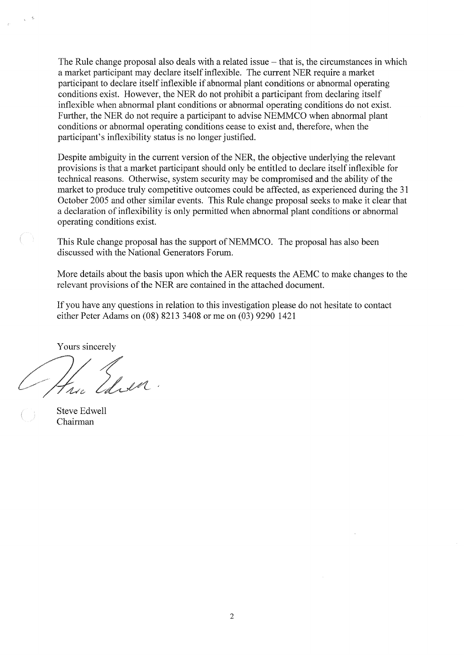The Rule change proposal also deals with a related issue – that is, the circumstances in which a market participant may declare itself inflexible. The current NER require a market participant to declare itself inflexible if abnormal plant conditions or abnormal operating conditions exist. However, the NER do not prohibit a participant from declaring itself inflexible when abnormal plant conditions or abnormal operating conditions do not exist. Further, the NER do not require a participant to advise NEMMCO when abnormal plant conditions or abnormal operating conditions cease to exist and, therefore, when the participant's inflexibility status is no longer justified.

Despite ambiguity in the current version of the NER, the objective underlying the relevant provisions is that a market participant should only be entitled to declare itself inflexible for technical reasons. Otherwise, system security may be compromised and the ability of the market to produce truly competitive outcomes could be affected, as experienced during the 31 October 2005 and other similar events. This Rule change proposal seeks to make it clear that a declaration of inflexibility is only permitted when abnormal plant conditions or abnormal operating conditions exist.

This Rule change proposal has the support of NEMMCO. The proposal has also been discussed with the National Generators Forum.

More details about the basis upon which the AER requests the AEMC to make changes to the relevant provisions of the NER are contained in the attached document.

If you have any questions in relation to this investigation please do not hesitate to contact either Peter Adams on (08) 8213 3408 or me on (03) 9290 1421

Yours sincerely

Lada

**Steve Edwell** Chairman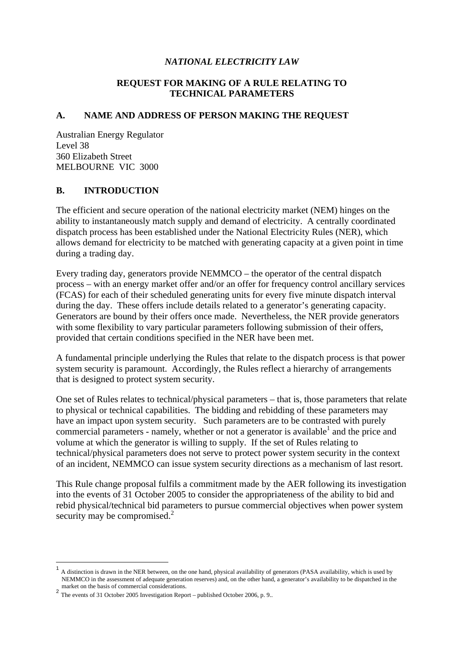#### *NATIONAL ELECTRICITY LAW*

#### **REQUEST FOR MAKING OF A RULE RELATING TO TECHNICAL PARAMETERS**

#### **A. NAME AND ADDRESS OF PERSON MAKING THE REQUEST**

Australian Energy Regulator Level 38 360 Elizabeth Street MELBOURNE VIC 3000

#### **B. INTRODUCTION**

The efficient and secure operation of the national electricity market (NEM) hinges on the ability to instantaneously match supply and demand of electricity. A centrally coordinated dispatch process has been established under the National Electricity Rules (NER), which allows demand for electricity to be matched with generating capacity at a given point in time during a trading day.

Every trading day, generators provide NEMMCO – the operator of the central dispatch process – with an energy market offer and/or an offer for frequency control ancillary services (FCAS) for each of their scheduled generating units for every five minute dispatch interval during the day. These offers include details related to a generator's generating capacity. Generators are bound by their offers once made. Nevertheless, the NER provide generators with some flexibility to vary particular parameters following submission of their offers, provided that certain conditions specified in the NER have been met.

A fundamental principle underlying the Rules that relate to the dispatch process is that power system security is paramount. Accordingly, the Rules reflect a hierarchy of arrangements that is designed to protect system security.

One set of Rules relates to technical/physical parameters – that is, those parameters that relate to physical or technical capabilities. The bidding and rebidding of these parameters may have an impact upon system security. Such parameters are to be contrasted with purely commercial parameters - namely, whether or not a generator is available<sup>1</sup> and the price and volume at which the generator is willing to supply. If the set of Rules relating to technical/physical parameters does not serve to protect power system security in the context of an incident, NEMMCO can issue system security directions as a mechanism of last resort.

This Rule change proposal fulfils a commitment made by the AER following its investigation into the events of 31 October 2005 to consider the appropriateness of the ability to bid and rebid physical/technical bid parameters to pursue commercial objectives when power system security may be compromised.<sup>2</sup>

<u>.</u>

<sup>1</sup> A distinction is drawn in the NER between, on the one hand, physical availability of generators (PASA availability, which is used by NEMMCO in the assessment of adequate generation reserves) and, on the other hand, a generator's availability to be dispatched in the

market on the basis of commercial considerations.<br>
<sup>2</sup> The events of 31 October 2005 Investigation Report – published October 2006, p. 9..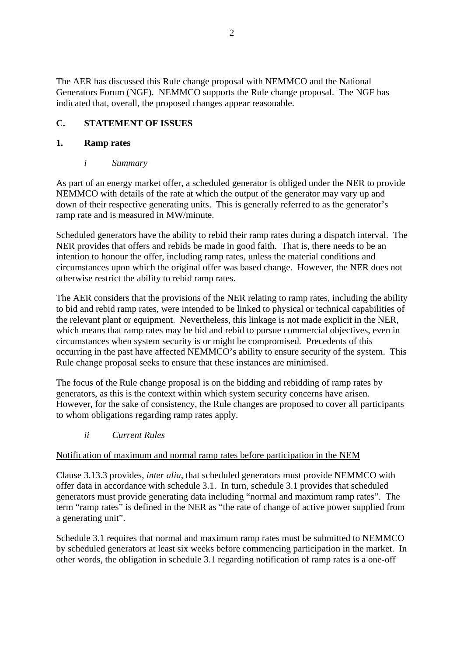The AER has discussed this Rule change proposal with NEMMCO and the National Generators Forum (NGF). NEMMCO supports the Rule change proposal. The NGF has indicated that, overall, the proposed changes appear reasonable.

# **C. STATEMENT OF ISSUES**

## **1. Ramp rates**

*i Summary* 

As part of an energy market offer, a scheduled generator is obliged under the NER to provide NEMMCO with details of the rate at which the output of the generator may vary up and down of their respective generating units. This is generally referred to as the generator's ramp rate and is measured in MW/minute.

Scheduled generators have the ability to rebid their ramp rates during a dispatch interval. The NER provides that offers and rebids be made in good faith. That is, there needs to be an intention to honour the offer, including ramp rates, unless the material conditions and circumstances upon which the original offer was based change. However, the NER does not otherwise restrict the ability to rebid ramp rates.

The AER considers that the provisions of the NER relating to ramp rates, including the ability to bid and rebid ramp rates, were intended to be linked to physical or technical capabilities of the relevant plant or equipment. Nevertheless, this linkage is not made explicit in the NER, which means that ramp rates may be bid and rebid to pursue commercial objectives, even in circumstances when system security is or might be compromised. Precedents of this occurring in the past have affected NEMMCO's ability to ensure security of the system. This Rule change proposal seeks to ensure that these instances are minimised.

The focus of the Rule change proposal is on the bidding and rebidding of ramp rates by generators, as this is the context within which system security concerns have arisen. However, for the sake of consistency, the Rule changes are proposed to cover all participants to whom obligations regarding ramp rates apply.

*ii Current Rules* 

# Notification of maximum and normal ramp rates before participation in the NEM

Clause 3.13.3 provides, *inter alia*, that scheduled generators must provide NEMMCO with offer data in accordance with schedule 3.1. In turn, schedule 3.1 provides that scheduled generators must provide generating data including "normal and maximum ramp rates". The term "ramp rates" is defined in the NER as "the rate of change of active power supplied from a generating unit".

Schedule 3.1 requires that normal and maximum ramp rates must be submitted to NEMMCO by scheduled generators at least six weeks before commencing participation in the market. In other words, the obligation in schedule 3.1 regarding notification of ramp rates is a one-off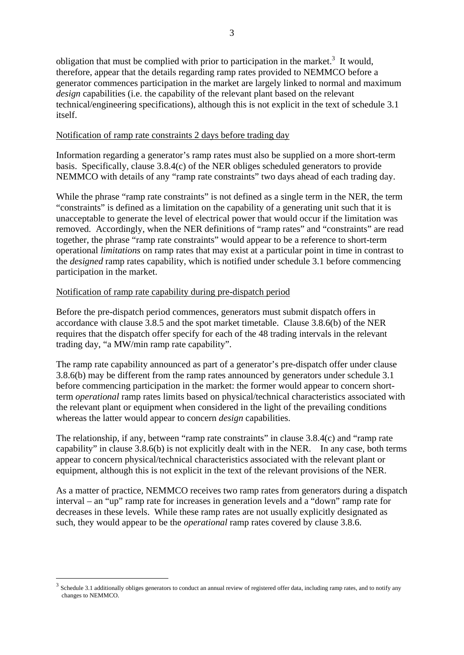obligation that must be complied with prior to participation in the market.<sup>3</sup> It would, therefore, appear that the details regarding ramp rates provided to NEMMCO before a generator commences participation in the market are largely linked to normal and maximum *design* capabilities (i.e. the capability of the relevant plant based on the relevant technical/engineering specifications), although this is not explicit in the text of schedule 3.1 itself.

#### Notification of ramp rate constraints 2 days before trading day

Information regarding a generator's ramp rates must also be supplied on a more short-term basis. Specifically, clause 3.8.4(c) of the NER obliges scheduled generators to provide NEMMCO with details of any "ramp rate constraints" two days ahead of each trading day.

While the phrase "ramp rate constraints" is not defined as a single term in the NER, the term "constraints" is defined as a limitation on the capability of a generating unit such that it is unacceptable to generate the level of electrical power that would occur if the limitation was removed. Accordingly, when the NER definitions of "ramp rates" and "constraints" are read together, the phrase "ramp rate constraints" would appear to be a reference to short-term operational *limitations* on ramp rates that may exist at a particular point in time in contrast to the *designed* ramp rates capability, which is notified under schedule 3.1 before commencing participation in the market.

#### Notification of ramp rate capability during pre-dispatch period

1

Before the pre-dispatch period commences, generators must submit dispatch offers in accordance with clause 3.8.5 and the spot market timetable. Clause 3.8.6(b) of the NER requires that the dispatch offer specify for each of the 48 trading intervals in the relevant trading day, "a MW/min ramp rate capability".

The ramp rate capability announced as part of a generator's pre-dispatch offer under clause 3.8.6(b) may be different from the ramp rates announced by generators under schedule 3.1 before commencing participation in the market: the former would appear to concern shortterm *operational* ramp rates limits based on physical/technical characteristics associated with the relevant plant or equipment when considered in the light of the prevailing conditions whereas the latter would appear to concern *design* capabilities.

The relationship, if any, between "ramp rate constraints" in clause 3.8.4(c) and "ramp rate capability" in clause 3.8.6(b) is not explicitly dealt with in the NER. In any case, both terms appear to concern physical/technical characteristics associated with the relevant plant or equipment, although this is not explicit in the text of the relevant provisions of the NER.

As a matter of practice, NEMMCO receives two ramp rates from generators during a dispatch interval – an "up" ramp rate for increases in generation levels and a "down" ramp rate for decreases in these levels. While these ramp rates are not usually explicitly designated as such, they would appear to be the *operational* ramp rates covered by clause 3.8.6.

<sup>&</sup>lt;sup>3</sup> Schedule 3.1 additionally obliges generators to conduct an annual review of registered offer data, including ramp rates, and to notify any changes to NEMMCO.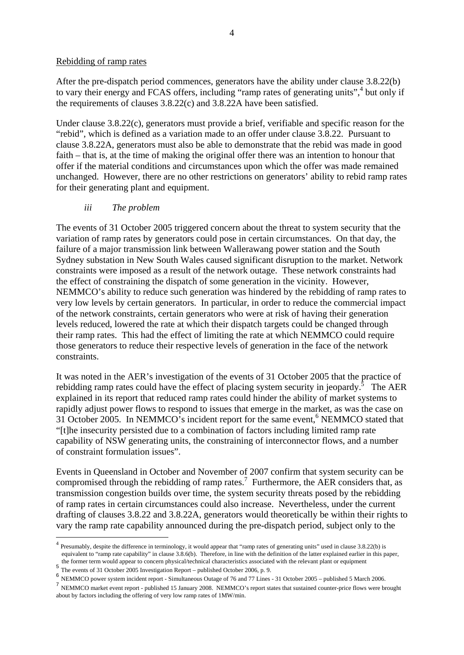#### Rebidding of ramp rates

After the pre-dispatch period commences, generators have the ability under clause 3.8.22(b) to vary their energy and FCAS offers, including "ramp rates of generating units",<sup>4</sup> but only if the requirements of clauses 3.8.22(c) and 3.8.22A have been satisfied.

Under clause 3.8.22(c), generators must provide a brief, verifiable and specific reason for the "rebid", which is defined as a variation made to an offer under clause 3.8.22. Pursuant to clause 3.8.22A, generators must also be able to demonstrate that the rebid was made in good faith – that is, at the time of making the original offer there was an intention to honour that offer if the material conditions and circumstances upon which the offer was made remained unchanged. However, there are no other restrictions on generators' ability to rebid ramp rates for their generating plant and equipment.

#### *iii The problem*

The events of 31 October 2005 triggered concern about the threat to system security that the variation of ramp rates by generators could pose in certain circumstances. On that day, the failure of a major transmission link between Wallerawang power station and the South Sydney substation in New South Wales caused significant disruption to the market. Network constraints were imposed as a result of the network outage. These network constraints had the effect of constraining the dispatch of some generation in the vicinity. However, NEMMCO's ability to reduce such generation was hindered by the rebidding of ramp rates to very low levels by certain generators. In particular, in order to reduce the commercial impact of the network constraints, certain generators who were at risk of having their generation levels reduced, lowered the rate at which their dispatch targets could be changed through their ramp rates. This had the effect of limiting the rate at which NEMMCO could require those generators to reduce their respective levels of generation in the face of the network constraints.

It was noted in the AER's investigation of the events of 31 October 2005 that the practice of rebidding ramp rates could have the effect of placing system security in jeopardy. $\delta$  The AER explained in its report that reduced ramp rates could hinder the ability of market systems to rapidly adjust power flows to respond to issues that emerge in the market, as was the case on 31 October 2005. In NEMMCO's incident report for the same event,<sup>6</sup> NEMMCO stated that "[t]he insecurity persisted due to a combination of factors including limited ramp rate capability of NSW generating units, the constraining of interconnector flows, and a number of constraint formulation issues".

Events in Queensland in October and November of 2007 confirm that system security can be compromised through the rebidding of ramp rates.<sup>7</sup> Furthermore, the AER considers that, as transmission congestion builds over time, the system security threats posed by the rebidding of ramp rates in certain circumstances could also increase. Nevertheless, under the current drafting of clauses 3.8.22 and 3.8.22A, generators would theoretically be within their rights to vary the ramp rate capability announced during the pre-dispatch period, subject only to the

<u>.</u>

<sup>&</sup>lt;sup>4</sup> Presumably, despite the difference in terminology, it would appear that "ramp rates of generating units" used in clause 3.8.22(b) is equivalent to "ramp rate capability" in clause 3.8.6(b). Therefore, in line with the definition of the latter explained earlier in this paper,

the former term would appear to concern physical/technical characteristics associated with the relevant plant or equipment<br>
<sup>5</sup> The events of 31 October 2005 Investigation Report – published October 2006, p. 9.<br>
<sup>6</sup> NEMMCO

TREMMCO market event report - published 15 January 2008. NEMMCO's report states that sustained counter-price flows were brought about by factors including the offering of very low ramp rates of 1MW/min.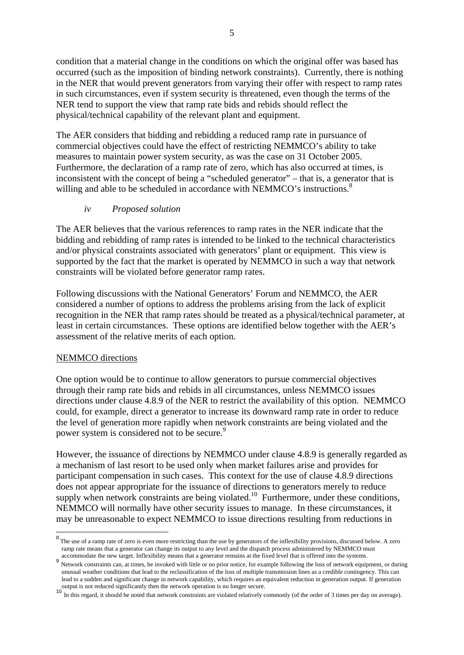condition that a material change in the conditions on which the original offer was based has occurred (such as the imposition of binding network constraints). Currently, there is nothing in the NER that would prevent generators from varying their offer with respect to ramp rates in such circumstances, even if system security is threatened, even though the terms of the NER tend to support the view that ramp rate bids and rebids should reflect the physical/technical capability of the relevant plant and equipment.

The AER considers that bidding and rebidding a reduced ramp rate in pursuance of commercial objectives could have the effect of restricting NEMMCO's ability to take measures to maintain power system security, as was the case on 31 October 2005. Furthermore, the declaration of a ramp rate of zero, which has also occurred at times, is inconsistent with the concept of being a "scheduled generator" – that is, a generator that is willing and able to be scheduled in accordance with NEMMCO's instructions.<sup>8</sup>

#### *iv Proposed solution*

The AER believes that the various references to ramp rates in the NER indicate that the bidding and rebidding of ramp rates is intended to be linked to the technical characteristics and/or physical constraints associated with generators' plant or equipment. This view is supported by the fact that the market is operated by NEMMCO in such a way that network constraints will be violated before generator ramp rates.

Following discussions with the National Generators' Forum and NEMMCO, the AER considered a number of options to address the problems arising from the lack of explicit recognition in the NER that ramp rates should be treated as a physical/technical parameter, at least in certain circumstances. These options are identified below together with the AER's assessment of the relative merits of each option.

#### NEMMCO directions

1

One option would be to continue to allow generators to pursue commercial objectives through their ramp rate bids and rebids in all circumstances, unless NEMMCO issues directions under clause 4.8.9 of the NER to restrict the availability of this option. NEMMCO could, for example, direct a generator to increase its downward ramp rate in order to reduce the level of generation more rapidly when network constraints are being violated and the power system is considered not to be secure.<sup>9</sup>

However, the issuance of directions by NEMMCO under clause 4.8.9 is generally regarded as a mechanism of last resort to be used only when market failures arise and provides for participant compensation in such cases. This context for the use of clause 4.8.9 directions does not appear appropriate for the issuance of directions to generators merely to reduce supply when network constraints are being violated.<sup>10</sup> Furthermore, under these conditions, NEMMCO will normally have other security issues to manage. In these circumstances, it may be unreasonable to expect NEMMCO to issue directions resulting from reductions in

<sup>&</sup>lt;sup>8</sup>The use of a ramp rate of zero is even more restricting than the use by generators of the inflexibility provisions, discussed below. A zero ramp rate means that a generator can change its output to any level and the dispatch process administered by NEMMCO must

accommodate the new target. Inflexibility means that a generator remains at the fixed level that is offered into the systems.<br><sup>9</sup> Network constraints can, at times, be invoked with little or no prior notice, for example fo unusual weather conditions that lead to the reclassification of the loss of multiple transmission lines as a credible contingency. This can lead to a sudden and significant change in network capability, which requires an equivalent reduction in generation output. If generation output is not reduced significantly then the network operation is no longer secure.<br>

In this regard, it should be noted that network constraints are violated relatively commonly (of the order of 3 times per day on average).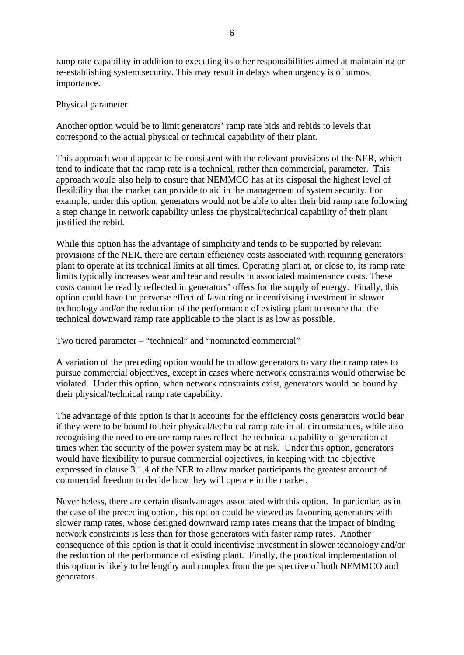ramp rate capability in addition to executing its other responsibilities aimed at maintaining or re-establishing system security. This may result in delays when urgency is of utmost importance.

#### Physical parameter

Another option would be to limit generators' ramp rate bids and rebids to levels that correspond to the actual physical or technical capability of their plant.

This approach would appear to be consistent with the relevant provisions of the NER, which tend to indicate that the ramp rate is a technical, rather than commercial, parameter. This approach would also help to ensure that NEMMCO has at its disposal the highest level of flexibility that the market can provide to aid in the management of system security. For example, under this option, generators would not be able to alter their bid ramp rate following a step change in network capability unless the physical/technical capability of their plant justified the rebid.

While this option has the advantage of simplicity and tends to be supported by relevant provisions of the NER, there are certain efficiency costs associated with requiring generators' plant to operate at its technical limits at all times. Operating plant at, or close to, its ramp rate limits typically increases wear and tear and results in associated maintenance costs. These costs cannot be readily reflected in generators' offers for the supply of energy. Finally, this option could have the perverse effect of favouring or incentivising investment in slower technology and/or the reduction of the performance of existing plant to ensure that the technical downward ramp rate applicable to the plant is as low as possible.

#### Two tiered parameter – "technical" and "nominated commercial"

A variation of the preceding option would be to allow generators to vary their ramp rates to pursue commercial objectives, except in cases where network constraints would otherwise be violated. Under this option, when network constraints exist, generators would be bound by their physical/technical ramp rate capability.

The advantage of this option is that it accounts for the efficiency costs generators would bear if they were to be bound to their physical/technical ramp rate in all circumstances, while also recognising the need to ensure ramp rates reflect the technical capability of generation at times when the security of the power system may be at risk. Under this option, generators would have flexibility to pursue commercial objectives, in keeping with the objective expressed in clause 3.1.4 of the NER to allow market participants the greatest amount of commercial freedom to decide how they will operate in the market.

Nevertheless, there are certain disadvantages associated with this option. In particular, as in the case of the preceding option, this option could be viewed as favouring generators with slower ramp rates, whose designed downward ramp rates means that the impact of binding network constraints is less than for those generators with faster ramp rates. Another consequence of this option is that it could incentivise investment in slower technology and/or the reduction of the performance of existing plant. Finally, the practical implementation of this option is likely to be lengthy and complex from the perspective of both NEMMCO and generators.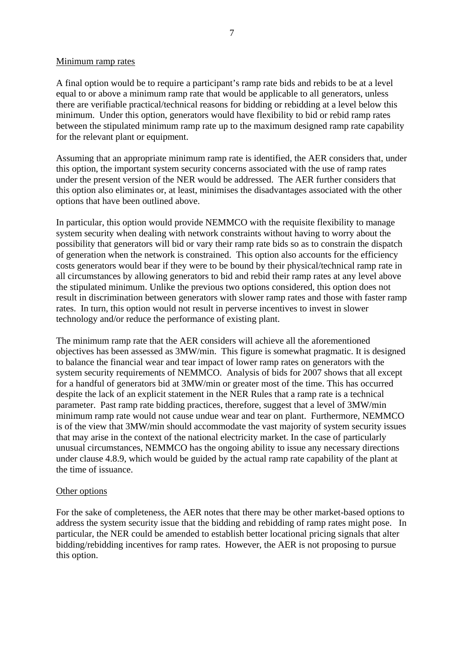#### Minimum ramp rates

A final option would be to require a participant's ramp rate bids and rebids to be at a level equal to or above a minimum ramp rate that would be applicable to all generators, unless there are verifiable practical/technical reasons for bidding or rebidding at a level below this minimum. Under this option, generators would have flexibility to bid or rebid ramp rates between the stipulated minimum ramp rate up to the maximum designed ramp rate capability for the relevant plant or equipment.

Assuming that an appropriate minimum ramp rate is identified, the AER considers that, under this option, the important system security concerns associated with the use of ramp rates under the present version of the NER would be addressed. The AER further considers that this option also eliminates or, at least, minimises the disadvantages associated with the other options that have been outlined above.

In particular, this option would provide NEMMCO with the requisite flexibility to manage system security when dealing with network constraints without having to worry about the possibility that generators will bid or vary their ramp rate bids so as to constrain the dispatch of generation when the network is constrained. This option also accounts for the efficiency costs generators would bear if they were to be bound by their physical/technical ramp rate in all circumstances by allowing generators to bid and rebid their ramp rates at any level above the stipulated minimum. Unlike the previous two options considered, this option does not result in discrimination between generators with slower ramp rates and those with faster ramp rates. In turn, this option would not result in perverse incentives to invest in slower technology and/or reduce the performance of existing plant.

The minimum ramp rate that the AER considers will achieve all the aforementioned objectives has been assessed as 3MW/min. This figure is somewhat pragmatic. It is designed to balance the financial wear and tear impact of lower ramp rates on generators with the system security requirements of NEMMCO. Analysis of bids for 2007 shows that all except for a handful of generators bid at 3MW/min or greater most of the time. This has occurred despite the lack of an explicit statement in the NER Rules that a ramp rate is a technical parameter. Past ramp rate bidding practices, therefore, suggest that a level of 3MW/min minimum ramp rate would not cause undue wear and tear on plant. Furthermore, NEMMCO is of the view that 3MW/min should accommodate the vast majority of system security issues that may arise in the context of the national electricity market. In the case of particularly unusual circumstances, NEMMCO has the ongoing ability to issue any necessary directions under clause 4.8.9, which would be guided by the actual ramp rate capability of the plant at the time of issuance.

#### Other options

For the sake of completeness, the AER notes that there may be other market-based options to address the system security issue that the bidding and rebidding of ramp rates might pose. In particular, the NER could be amended to establish better locational pricing signals that alter bidding/rebidding incentives for ramp rates. However, the AER is not proposing to pursue this option.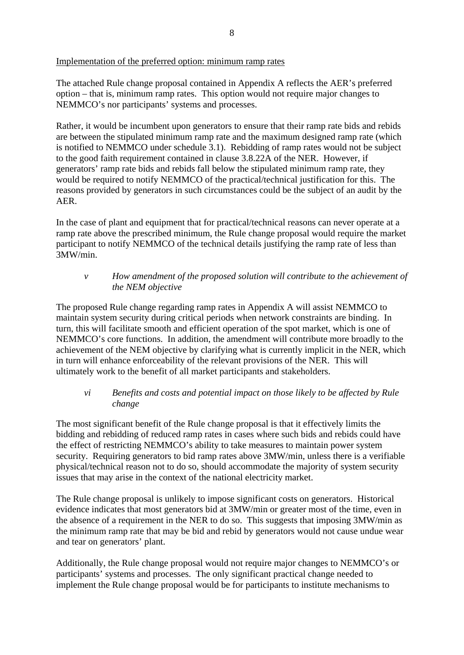Implementation of the preferred option: minimum ramp rates

The attached Rule change proposal contained in Appendix A reflects the AER's preferred option – that is, minimum ramp rates. This option would not require major changes to NEMMCO's nor participants' systems and processes.

Rather, it would be incumbent upon generators to ensure that their ramp rate bids and rebids are between the stipulated minimum ramp rate and the maximum designed ramp rate (which is notified to NEMMCO under schedule 3.1). Rebidding of ramp rates would not be subject to the good faith requirement contained in clause 3.8.22A of the NER. However, if generators' ramp rate bids and rebids fall below the stipulated minimum ramp rate, they would be required to notify NEMMCO of the practical/technical justification for this. The reasons provided by generators in such circumstances could be the subject of an audit by the AER.

In the case of plant and equipment that for practical/technical reasons can never operate at a ramp rate above the prescribed minimum, the Rule change proposal would require the market participant to notify NEMMCO of the technical details justifying the ramp rate of less than 3MW/min.

### *v How amendment of the proposed solution will contribute to the achievement of the NEM objective*

The proposed Rule change regarding ramp rates in Appendix A will assist NEMMCO to maintain system security during critical periods when network constraints are binding. In turn, this will facilitate smooth and efficient operation of the spot market, which is one of NEMMCO's core functions. In addition, the amendment will contribute more broadly to the achievement of the NEM objective by clarifying what is currently implicit in the NER, which in turn will enhance enforceability of the relevant provisions of the NER. This will ultimately work to the benefit of all market participants and stakeholders.

## *vi Benefits and costs and potential impact on those likely to be affected by Rule change*

The most significant benefit of the Rule change proposal is that it effectively limits the bidding and rebidding of reduced ramp rates in cases where such bids and rebids could have the effect of restricting NEMMCO's ability to take measures to maintain power system security. Requiring generators to bid ramp rates above 3MW/min, unless there is a verifiable physical/technical reason not to do so, should accommodate the majority of system security issues that may arise in the context of the national electricity market.

The Rule change proposal is unlikely to impose significant costs on generators. Historical evidence indicates that most generators bid at 3MW/min or greater most of the time, even in the absence of a requirement in the NER to do so. This suggests that imposing 3MW/min as the minimum ramp rate that may be bid and rebid by generators would not cause undue wear and tear on generators' plant.

Additionally, the Rule change proposal would not require major changes to NEMMCO's or participants' systems and processes. The only significant practical change needed to implement the Rule change proposal would be for participants to institute mechanisms to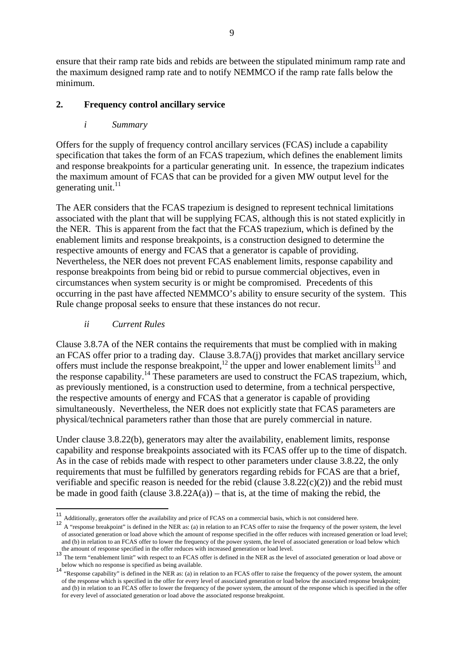ensure that their ramp rate bids and rebids are between the stipulated minimum ramp rate and the maximum designed ramp rate and to notify NEMMCO if the ramp rate falls below the minimum.

## **2. Frequency control ancillary service**

## *i Summary*

Offers for the supply of frequency control ancillary services (FCAS) include a capability specification that takes the form of an FCAS trapezium, which defines the enablement limits and response breakpoints for a particular generating unit. In essence, the trapezium indicates the maximum amount of FCAS that can be provided for a given MW output level for the generating unit. $^{11}$ 

The AER considers that the FCAS trapezium is designed to represent technical limitations associated with the plant that will be supplying FCAS, although this is not stated explicitly in the NER. This is apparent from the fact that the FCAS trapezium, which is defined by the enablement limits and response breakpoints, is a construction designed to determine the respective amounts of energy and FCAS that a generator is capable of providing. Nevertheless, the NER does not prevent FCAS enablement limits, response capability and response breakpoints from being bid or rebid to pursue commercial objectives, even in circumstances when system security is or might be compromised. Precedents of this occurring in the past have affected NEMMCO's ability to ensure security of the system. This Rule change proposal seeks to ensure that these instances do not recur.

## *ii Current Rules*

<u>.</u>

Clause 3.8.7A of the NER contains the requirements that must be complied with in making an FCAS offer prior to a trading day. Clause 3.8.7A(j) provides that market ancillary service offers must include the response breakpoint, $^{12}$  the upper and lower enablement limits<sup>13</sup> and the response capability.14 These parameters are used to construct the FCAS trapezium, which, as previously mentioned, is a construction used to determine, from a technical perspective, the respective amounts of energy and FCAS that a generator is capable of providing simultaneously. Nevertheless, the NER does not explicitly state that FCAS parameters are physical/technical parameters rather than those that are purely commercial in nature.

Under clause 3.8.22(b), generators may alter the availability, enablement limits, response capability and response breakpoints associated with its FCAS offer up to the time of dispatch. As in the case of rebids made with respect to other parameters under clause 3.8.22, the only requirements that must be fulfilled by generators regarding rebids for FCAS are that a brief, verifiable and specific reason is needed for the rebid (clause 3.8.22(c)(2)) and the rebid must be made in good faith (clause  $3.8.22A(a)$ ) – that is, at the time of making the rebid, the

<sup>11</sup> Additionally, generators offer the availability and price of FCAS on a commercial basis, which is not considered here.

<sup>&</sup>lt;sup>12</sup> A "response breakpoint" is defined in the NER as: (a) in relation to an FCAS offer to raise the frequency of the power system, the level of associated generation or load above which the amount of response specified in the offer reduces with increased generation or load level; and (b) in relation to an FCAS offer to lower the frequency of the power system, the level of associated generation or load below which the amount of response specified in the offer reduces with increased generation or loa

<sup>&</sup>lt;sup>13</sup>The term "enablement limit" with respect to an FCAS offer is defined in the NER as the level of associated generation or load above or

below which no response is specified as being available.<br><sup>14</sup> "Response capability" is defined in the NER as: (a) in relation to an FCAS offer to raise the frequency of the power system, the amount of the response which is specified in the offer for every level of associated generation or load below the associated response breakpoint; and (b) in relation to an FCAS offer to lower the frequency of the power system, the amount of the response which is specified in the offer for every level of associated generation or load above the associated response breakpoint.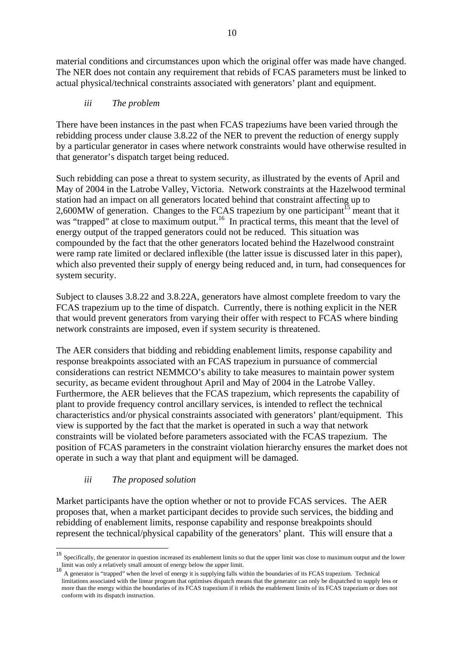material conditions and circumstances upon which the original offer was made have changed. The NER does not contain any requirement that rebids of FCAS parameters must be linked to actual physical/technical constraints associated with generators' plant and equipment.

## *iii The problem*

There have been instances in the past when FCAS trapeziums have been varied through the rebidding process under clause 3.8.22 of the NER to prevent the reduction of energy supply by a particular generator in cases where network constraints would have otherwise resulted in that generator's dispatch target being reduced.

Such rebidding can pose a threat to system security, as illustrated by the events of April and May of 2004 in the Latrobe Valley, Victoria. Network constraints at the Hazelwood terminal station had an impact on all generators located behind that constraint affecting up to 2,600MW of generation. Changes to the FCAS trapezium by one participant<sup>15</sup> meant that it was "trapped" at close to maximum output.<sup>16</sup> In practical terms, this meant that the level of energy output of the trapped generators could not be reduced. This situation was compounded by the fact that the other generators located behind the Hazelwood constraint were ramp rate limited or declared inflexible (the latter issue is discussed later in this paper), which also prevented their supply of energy being reduced and, in turn, had consequences for system security.

Subject to clauses 3.8.22 and 3.8.22A, generators have almost complete freedom to vary the FCAS trapezium up to the time of dispatch. Currently, there is nothing explicit in the NER that would prevent generators from varying their offer with respect to FCAS where binding network constraints are imposed, even if system security is threatened.

The AER considers that bidding and rebidding enablement limits, response capability and response breakpoints associated with an FCAS trapezium in pursuance of commercial considerations can restrict NEMMCO's ability to take measures to maintain power system security, as became evident throughout April and May of 2004 in the Latrobe Valley. Furthermore, the AER believes that the FCAS trapezium, which represents the capability of plant to provide frequency control ancillary services, is intended to reflect the technical characteristics and/or physical constraints associated with generators' plant/equipment. This view is supported by the fact that the market is operated in such a way that network constraints will be violated before parameters associated with the FCAS trapezium. The position of FCAS parameters in the constraint violation hierarchy ensures the market does not operate in such a way that plant and equipment will be damaged.

## *iii The proposed solution*

<u>.</u>

Market participants have the option whether or not to provide FCAS services. The AER proposes that, when a market participant decides to provide such services, the bidding and rebidding of enablement limits, response capability and response breakpoints should represent the technical/physical capability of the generators' plant. This will ensure that a

<sup>15</sup> Specifically, the generator in question increased its enablement limits so that the upper limit was close to maximum output and the lower limit was only a relatively small amount of energy below the upper limit.<br><sup>16</sup> A generator is "trapped" when the level of energy it is supplying falls within the boundaries of its FCAS trapezium. Technical

limitations associated with the linear program that optimises dispatch means that the generator can only be dispatched to supply less or more than the energy within the boundaries of its FCAS trapezium if it rebids the enablement limits of its FCAS trapezium or does not conform with its dispatch instruction.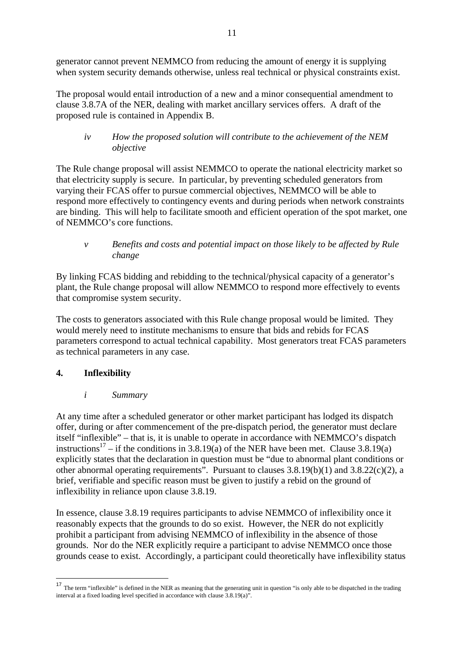generator cannot prevent NEMMCO from reducing the amount of energy it is supplying when system security demands otherwise, unless real technical or physical constraints exist.

The proposal would entail introduction of a new and a minor consequential amendment to clause 3.8.7A of the NER, dealing with market ancillary services offers. A draft of the proposed rule is contained in Appendix B.

*iv How the proposed solution will contribute to the achievement of the NEM objective* 

The Rule change proposal will assist NEMMCO to operate the national electricity market so that electricity supply is secure. In particular, by preventing scheduled generators from varying their FCAS offer to pursue commercial objectives, NEMMCO will be able to respond more effectively to contingency events and during periods when network constraints are binding. This will help to facilitate smooth and efficient operation of the spot market, one of NEMMCO's core functions.

*v Benefits and costs and potential impact on those likely to be affected by Rule change* 

By linking FCAS bidding and rebidding to the technical/physical capacity of a generator's plant, the Rule change proposal will allow NEMMCO to respond more effectively to events that compromise system security.

The costs to generators associated with this Rule change proposal would be limited. They would merely need to institute mechanisms to ensure that bids and rebids for FCAS parameters correspond to actual technical capability. Most generators treat FCAS parameters as technical parameters in any case.

# **4. Inflexibility**

1

# *i Summary*

At any time after a scheduled generator or other market participant has lodged its dispatch offer, during or after commencement of the pre-dispatch period, the generator must declare itself "inflexible" – that is, it is unable to operate in accordance with NEMMCO's dispatch instructions<sup>17</sup> – if the conditions in 3.8.19(a) of the NER have been met. Clause 3.8.19(a) explicitly states that the declaration in question must be "due to abnormal plant conditions or other abnormal operating requirements". Pursuant to clauses 3.8.19(b)(1) and 3.8.22(c)(2), a brief, verifiable and specific reason must be given to justify a rebid on the ground of inflexibility in reliance upon clause 3.8.19.

In essence, clause 3.8.19 requires participants to advise NEMMCO of inflexibility once it reasonably expects that the grounds to do so exist. However, the NER do not explicitly prohibit a participant from advising NEMMCO of inflexibility in the absence of those grounds. Nor do the NER explicitly require a participant to advise NEMMCO once those grounds cease to exist. Accordingly, a participant could theoretically have inflexibility status

<sup>&</sup>lt;sup>17</sup> The term "inflexible" is defined in the NER as meaning that the generating unit in question "is only able to be dispatched in the trading interval at a fixed loading level specified in accordance with clause 3.8.19(a)".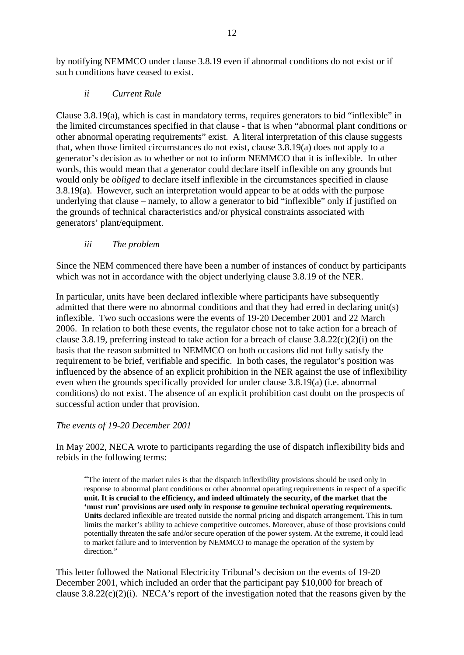by notifying NEMMCO under clause 3.8.19 even if abnormal conditions do not exist or if such conditions have ceased to exist.

## *ii Current Rule*

Clause 3.8.19(a), which is cast in mandatory terms, requires generators to bid "inflexible" in the limited circumstances specified in that clause - that is when "abnormal plant conditions or other abnormal operating requirements" exist. A literal interpretation of this clause suggests that, when those limited circumstances do not exist, clause 3.8.19(a) does not apply to a generator's decision as to whether or not to inform NEMMCO that it is inflexible. In other words, this would mean that a generator could declare itself inflexible on any grounds but would only be *obliged* to declare itself inflexible in the circumstances specified in clause 3.8.19(a). However, such an interpretation would appear to be at odds with the purpose underlying that clause – namely, to allow a generator to bid "inflexible" only if justified on the grounds of technical characteristics and/or physical constraints associated with generators' plant/equipment.

### *iii The problem*

Since the NEM commenced there have been a number of instances of conduct by participants which was not in accordance with the object underlying clause 3.8.19 of the NER.

In particular, units have been declared inflexible where participants have subsequently admitted that there were no abnormal conditions and that they had erred in declaring unit(s) inflexible. Two such occasions were the events of 19-20 December 2001 and 22 March 2006. In relation to both these events, the regulator chose not to take action for a breach of clause 3.8.19, preferring instead to take action for a breach of clause  $3.8.22(c)(2)(i)$  on the basis that the reason submitted to NEMMCO on both occasions did not fully satisfy the requirement to be brief, verifiable and specific. In both cases, the regulator's position was influenced by the absence of an explicit prohibition in the NER against the use of inflexibility even when the grounds specifically provided for under clause 3.8.19(a) (i.e. abnormal conditions) do not exist. The absence of an explicit prohibition cast doubt on the prospects of successful action under that provision.

## *The events of 19-20 December 2001*

In May 2002, NECA wrote to participants regarding the use of dispatch inflexibility bids and rebids in the following terms:

"The intent of the market rules is that the dispatch inflexibility provisions should be used only in response to abnormal plant conditions or other abnormal operating requirements in respect of a specific **unit. It is crucial to the efficiency, and indeed ultimately the security, of the market that the 'must run' provisions are used only in response to genuine technical operating requirements. Units** declared inflexible are treated outside the normal pricing and dispatch arrangement. This in turn limits the market's ability to achieve competitive outcomes. Moreover, abuse of those provisions could potentially threaten the safe and/or secure operation of the power system. At the extreme, it could lead to market failure and to intervention by NEMMCO to manage the operation of the system by direction."

This letter followed the National Electricity Tribunal's decision on the events of 19-20 December 2001, which included an order that the participant pay \$10,000 for breach of clause  $3.8.22(c)(2)(i)$ . NECA's report of the investigation noted that the reasons given by the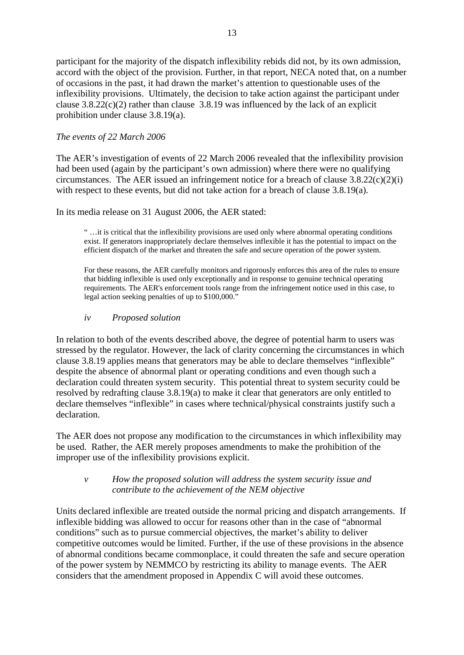participant for the majority of the dispatch inflexibility rebids did not, by its own admission, accord with the object of the provision. Further, in that report, NECA noted that, on a number of occasions in the past, it had drawn the market's attention to questionable uses of the inflexibility provisions. Ultimately, the decision to take action against the participant under clause  $3.8.22(c)(2)$  rather than clause  $3.8.19$  was influenced by the lack of an explicit prohibition under clause 3.8.19(a).

### *The events of 22 March 2006*

The AER's investigation of events of 22 March 2006 revealed that the inflexibility provision had been used (again by the participant's own admission) where there were no qualifying circumstances. The AER issued an infringement notice for a breach of clause  $3.8.22(c)(2)(i)$ with respect to these events, but did not take action for a breach of clause 3.8.19(a).

In its media release on 31 August 2006, the AER stated:

" …it is critical that the inflexibility provisions are used only where abnormal operating conditions exist. If generators inappropriately declare themselves inflexible it has the potential to impact on the efficient dispatch of the market and threaten the safe and secure operation of the power system.

For these reasons, the AER carefully monitors and rigorously enforces this area of the rules to ensure that bidding inflexible is used only exceptionally and in response to genuine technical operating requirements. The AER's enforcement tools range from the infringement notice used in this case, to legal action seeking penalties of up to \$100,000."

#### *iv Proposed solution*

In relation to both of the events described above, the degree of potential harm to users was stressed by the regulator. However, the lack of clarity concerning the circumstances in which clause 3.8.19 applies means that generators may be able to declare themselves "inflexible" despite the absence of abnormal plant or operating conditions and even though such a declaration could threaten system security. This potential threat to system security could be resolved by redrafting clause 3.8.19(a) to make it clear that generators are only entitled to declare themselves "inflexible" in cases where technical/physical constraints justify such a declaration.

The AER does not propose any modification to the circumstances in which inflexibility may be used. Rather, the AER merely proposes amendments to make the prohibition of the improper use of the inflexibility provisions explicit.

### *v How the proposed solution will address the system security issue and contribute to the achievement of the NEM objective*

Units declared inflexible are treated outside the normal pricing and dispatch arrangements. If inflexible bidding was allowed to occur for reasons other than in the case of "abnormal conditions" such as to pursue commercial objectives, the market's ability to deliver competitive outcomes would be limited. Further, if the use of these provisions in the absence of abnormal conditions became commonplace, it could threaten the safe and secure operation of the power system by NEMMCO by restricting its ability to manage events. The AER considers that the amendment proposed in Appendix C will avoid these outcomes.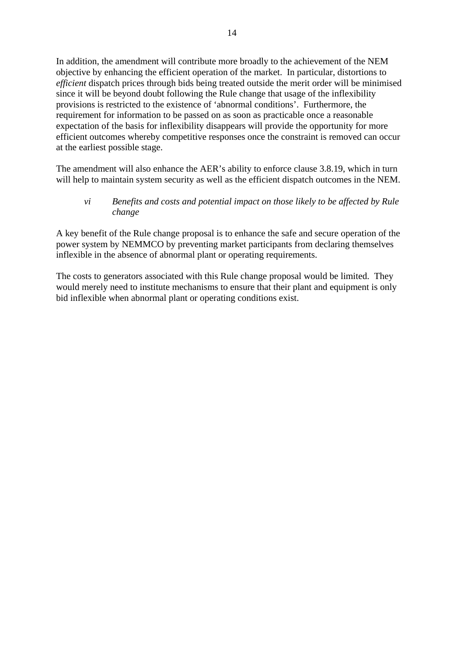In addition, the amendment will contribute more broadly to the achievement of the NEM objective by enhancing the efficient operation of the market. In particular, distortions to *efficient* dispatch prices through bids being treated outside the merit order will be minimised since it will be beyond doubt following the Rule change that usage of the inflexibility provisions is restricted to the existence of 'abnormal conditions'. Furthermore, the requirement for information to be passed on as soon as practicable once a reasonable expectation of the basis for inflexibility disappears will provide the opportunity for more efficient outcomes whereby competitive responses once the constraint is removed can occur at the earliest possible stage.

The amendment will also enhance the AER's ability to enforce clause 3.8.19, which in turn will help to maintain system security as well as the efficient dispatch outcomes in the NEM.

## *vi Benefits and costs and potential impact on those likely to be affected by Rule change*

A key benefit of the Rule change proposal is to enhance the safe and secure operation of the power system by NEMMCO by preventing market participants from declaring themselves inflexible in the absence of abnormal plant or operating requirements.

The costs to generators associated with this Rule change proposal would be limited. They would merely need to institute mechanisms to ensure that their plant and equipment is only bid inflexible when abnormal plant or operating conditions exist.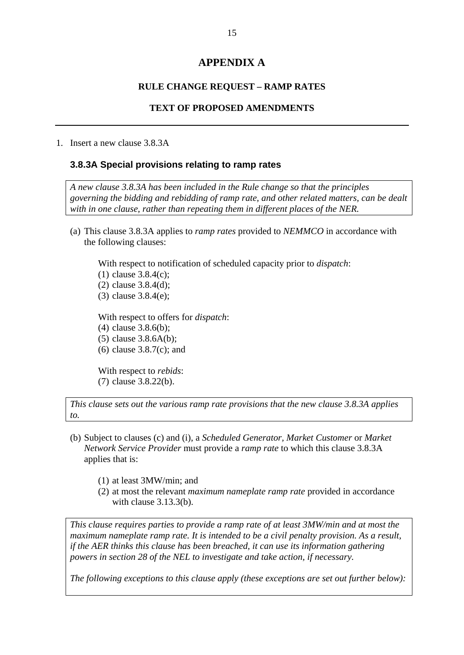## **APPENDIX A**

#### **RULE CHANGE REQUEST – RAMP RATES**

#### **TEXT OF PROPOSED AMENDMENTS**

#### 1. Insert a new clause 3.8.3A

#### **3.8.3A Special provisions relating to ramp rates**

*A new clause 3.8.3A has been included in the Rule change so that the principles governing the bidding and rebidding of ramp rate, and other related matters, can be dealt with in one clause, rather than repeating them in different places of the NER.* 

(a) This clause 3.8.3A applies to *ramp rates* provided to *NEMMCO* in accordance with the following clauses:

With respect to notification of scheduled capacity prior to *dispatch*: (1) clause 3.8.4(c); (2) clause 3.8.4(d); (3) clause 3.8.4(e); With respect to offers for *dispatch*: (4) clause 3.8.6(b);

- (5) clause 3.8.6A(b);
- (6) clause 3.8.7(c); and

With respect to *rebids*: (7) clause 3.8.22(b).

*This clause sets out the various ramp rate provisions that the new clause 3.8.3A applies to.* 

- (b) Subject to clauses (c) and (i), a *Scheduled Generator, Market Customer* or *Market Network Service Provider* must provide a *ramp rate* to which this clause 3.8.3A applies that is:
	- (1) at least 3MW/min; and
	- (2) at most the relevant *maximum nameplate ramp rate* provided in accordance with clause 3.13.3(b).

*This clause requires parties to provide a ramp rate of at least 3MW/min and at most the maximum nameplate ramp rate. It is intended to be a civil penalty provision. As a result, if the AER thinks this clause has been breached, it can use its information gathering powers in section 28 of the NEL to investigate and take action, if necessary.* 

*The following exceptions to this clause apply (these exceptions are set out further below):*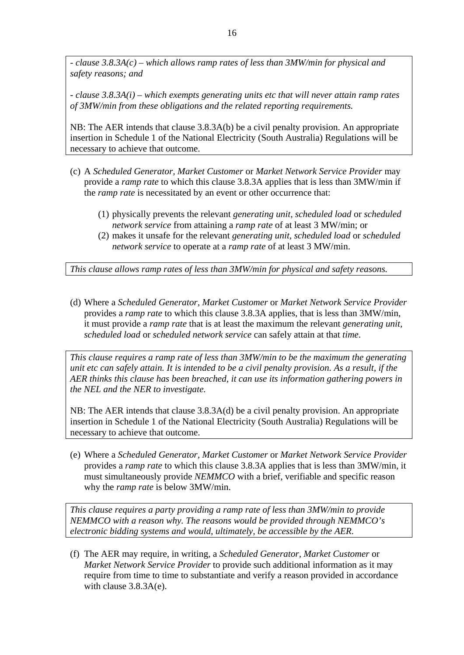*- clause 3.8.3A(c) – which allows ramp rates of less than 3MW/min for physical and safety reasons; and* 

*- clause 3.8.3A(i) – which exempts generating units etc that will never attain ramp rates of 3MW/min from these obligations and the related reporting requirements.* 

NB: The AER intends that clause 3.8.3A(b) be a civil penalty provision. An appropriate insertion in Schedule 1 of the National Electricity (South Australia) Regulations will be necessary to achieve that outcome.

- (c) A *Scheduled Generator, Market Customer* or *Market Network Service Provider* may provide a *ramp rate* to which this clause 3.8.3A applies that is less than 3MW/min if the *ramp rate* is necessitated by an event or other occurrence that:
	- (1) physically prevents the relevant *generating unit, scheduled load* or *scheduled network service* from attaining a *ramp rate* of at least 3 MW/min; or
	- (2) makes it unsafe for the relevant *generating unit, scheduled load* or *scheduled network service* to operate at a *ramp rate* of at least 3 MW/min.

*This clause allows ramp rates of less than 3MW/min for physical and safety reasons.* 

(d) Where a *Scheduled Generator, Market Customer* or *Market Network Service Provider*  provides a *ramp rate* to which this clause 3.8.3A applies, that is less than 3MW/min, it must provide a *ramp rate* that is at least the maximum the relevant *generating unit, scheduled load* or *scheduled network service* can safely attain at that *time*.

*This clause requires a ramp rate of less than 3MW/min to be the maximum the generating unit etc can safely attain. It is intended to be a civil penalty provision. As a result, if the AER thinks this clause has been breached, it can use its information gathering powers in the NEL and the NER to investigate.* 

NB: The AER intends that clause 3.8.3A(d) be a civil penalty provision. An appropriate insertion in Schedule 1 of the National Electricity (South Australia) Regulations will be necessary to achieve that outcome.

(e) Where a *Scheduled Generator, Market Customer* or *Market Network Service Provider*  provides a *ramp rate* to which this clause 3.8.3A applies that is less than 3MW/min, it must simultaneously provide *NEMMCO* with a brief, verifiable and specific reason why the *ramp rate* is below 3MW/min.

*This clause requires a party providing a ramp rate of less than 3MW/min to provide NEMMCO with a reason why. The reasons would be provided through NEMMCO's electronic bidding systems and would, ultimately, be accessible by the AER.* 

(f) The AER may require, in writing, a *Scheduled Generator, Market Customer* or *Market Network Service Provider* to provide such additional information as it may require from time to time to substantiate and verify a reason provided in accordance with clause 3.8.3A(e).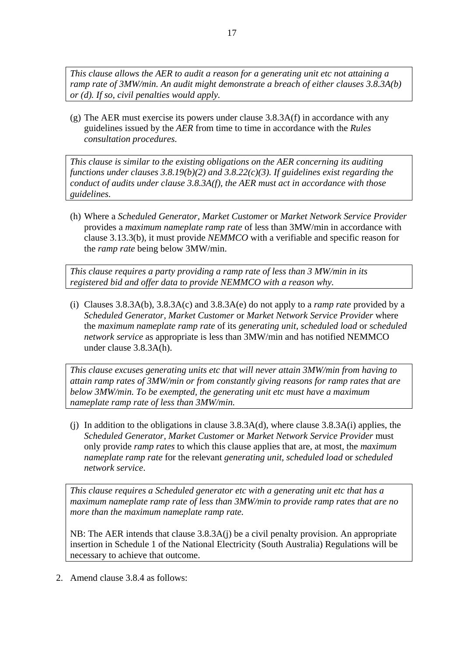*This clause allows the AER to audit a reason for a generating unit etc not attaining a ramp rate of 3MW/min. An audit might demonstrate a breach of either clauses 3.8.3A(b) or (d). If so, civil penalties would apply.* 

(g) The AER must exercise its powers under clause 3.8.3A(f) in accordance with any guidelines issued by the *AER* from time to time in accordance with the *Rules consultation procedures.*

*This clause is similar to the existing obligations on the AER concerning its auditing functions under clauses 3.8.19(b)(2) and 3.8.22(c)(3). If guidelines exist regarding the conduct of audits under clause 3.8.3A(f), the AER must act in accordance with those guidelines.* 

(h) Where a *Scheduled Generator, Market Customer* or *Market Network Service Provider*  provides a *maximum nameplate ramp rate* of less than 3MW/min in accordance with clause 3.13.3(b), it must provide *NEMMCO* with a verifiable and specific reason for the *ramp rate* being below 3MW/min.

*This clause requires a party providing a ramp rate of less than 3 MW/min in its registered bid and offer data to provide NEMMCO with a reason why.* 

(i) Clauses 3.8.3A(b), 3.8.3A(c) and 3.8.3A(e) do not apply to a *ramp rate* provided by a *Scheduled Generator, Market Customer* or *Market Network Service Provider* where the *maximum nameplate ramp rate* of its *generating unit, scheduled load* or *scheduled network service* as appropriate is less than 3MW/min and has notified NEMMCO under clause 3.8.3A(h).

*This clause excuses generating units etc that will never attain 3MW/min from having to attain ramp rates of 3MW/min or from constantly giving reasons for ramp rates that are below 3MW/min. To be exempted, the generating unit etc must have a maximum nameplate ramp rate of less than 3MW/min.* 

(i) In addition to the obligations in clause  $3.8.3A(d)$ , where clause  $3.8.3A(i)$  applies, the *Scheduled Generator, Market Customer* or *Market Network Service Provider* must only provide *ramp rates* to which this clause applies that are, at most, the *maximum nameplate ramp rate* for the relevant *generating unit, scheduled load* or *scheduled network service*.

*This clause requires a Scheduled generator etc with a generating unit etc that has a maximum nameplate ramp rate of less than 3MW/min to provide ramp rates that are no more than the maximum nameplate ramp rate.* 

NB: The AER intends that clause 3.8.3A(j) be a civil penalty provision. An appropriate insertion in Schedule 1 of the National Electricity (South Australia) Regulations will be necessary to achieve that outcome.

2. Amend clause 3.8.4 as follows: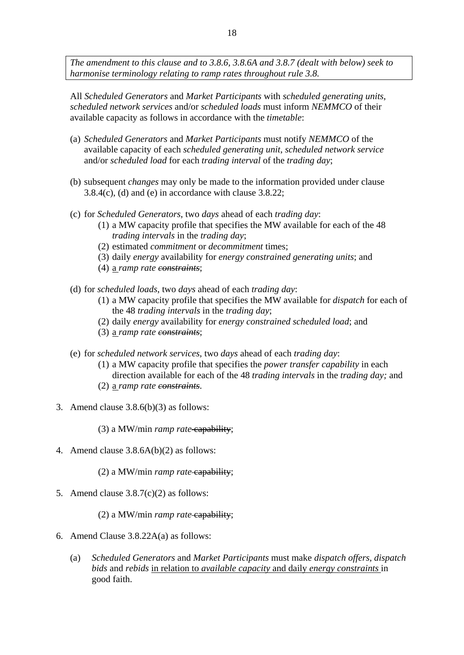*The amendment to this clause and to 3.8.6, 3.8.6A and 3.8.7 (dealt with below) seek to harmonise terminology relating to ramp rates throughout rule 3.8.* 

All *Scheduled Generators* and *Market Participants* with *scheduled generating units*, *scheduled network services* and/or *scheduled loads* must inform *NEMMCO* of their available capacity as follows in accordance with the *timetable*:

- (a) *Scheduled Generators* and *Market Participants* must notify *NEMMCO* of the available capacity of each *scheduled generating unit*, *scheduled network service* and/or *scheduled load* for each *trading interval* of the *trading day*;
- (b) subsequent *changes* may only be made to the information provided under clause 3.8.4(c), (d) and (e) in accordance with clause 3.8.22;
- (c) for *Scheduled Generators*, two *days* ahead of each *trading day*:
	- (1) a MW capacity profile that specifies the MW available for each of the 48 *trading intervals* in the *trading day*;
	- (2) estimated *commitment* or *decommitment* times;
	- (3) daily *energy* availability for *energy constrained generating units*; and
	- (4) a *ramp rate constraints*;
- (d) for *scheduled loads*, two *days* ahead of each *trading day*:
	- (1) a MW capacity profile that specifies the MW available for *dispatch* for each of the 48 *trading intervals* in the *trading day*;
	- (2) daily *energy* availability for *energy constrained scheduled load*; and
	- (3) a *ramp rate constraints*;
- (e) for *scheduled network services*, two *days* ahead of each *trading day*:
	- (1) a MW capacity profile that specifies the *power transfer capability* in each direction available for each of the 48 *trading intervals* in the *trading day;* and (2) a *ramp rate constraints*.
- 3. Amend clause 3.8.6(b)(3) as follows:

(3) a MW/min *ramp rate* capability;

4. Amend clause 3.8.6A(b)(2) as follows:

(2) a MW/min *ramp rate* capability;

5. Amend clause 3.8.7(c)(2) as follows:

(2) a MW/min *ramp rate* capability;

- 6. Amend Clause 3.8.22A(a) as follows:
	- (a) *Scheduled Generators* and *Market Participants* must make *dispatch offers, dispatch bids* and *rebids* in relation to *available capacity* and daily *energy constraints* in good faith.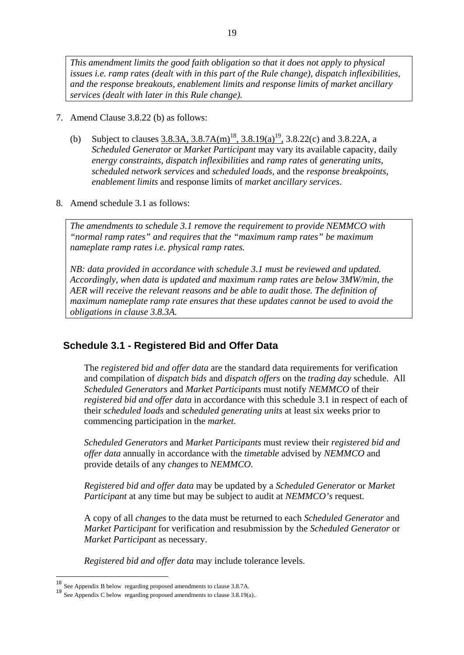*This amendment limits the good faith obligation so that it does not apply to physical issues i.e. ramp rates (dealt with in this part of the Rule change), dispatch inflexibilities, and the response breakouts, enablement limits and response limits of market ancillary services (dealt with later in this Rule change).* 

- 7. Amend Clause 3.8.22 (b) as follows:
	- (b) Subject to clauses 3.8.3A, 3.8.7A(m)<sup>18</sup>, 3.8.19(a)<sup>19</sup>, 3.8.22(c) and 3.8.22A, a *Scheduled Generator* or *Market Participant* may vary its available capacity, daily *energy constraints*, *dispatch inflexibilities* and *ramp rates* of *generating units*, *scheduled network services* and *scheduled loads*, and the *response breakpoints*, *enablement limits* and response limits of *market ancillary services*.
- 8. Amend schedule 3.1 as follows:

*The amendments to schedule 3.1 remove the requirement to provide NEMMCO with "normal ramp rates" and requires that the "maximum ramp rates" be maximum nameplate ramp rates i.e. physical ramp rates.* 

*NB: data provided in accordance with schedule 3.1 must be reviewed and updated. Accordingly, when data is updated and maximum ramp rates are below 3MW/min, the AER will receive the relevant reasons and be able to audit those. The definition of maximum nameplate ramp rate ensures that these updates cannot be used to avoid the obligations in clause 3.8.3A.*

## **Schedule 3.1 - Registered Bid and Offer Data**

The *registered bid and offer data* are the standard data requirements for verification and compilation of *dispatch bids* and *dispatch offers* on the *trading day* schedule. All *Scheduled Generators* and *Market Participants* must notify *NEMMCO* of their *registered bid and offer data* in accordance with this schedule 3.1 in respect of each of their *scheduled loads* and *scheduled generating units* at least six weeks prior to commencing participation in the *market*.

*Scheduled Generators* and *Market Participants* must review their *registered bid and offer data* annually in accordance with the *timetable* advised by *NEMMCO* and provide details of any *changes* to *NEMMCO.* 

*Registered bid and offer data* may be updated by a *Scheduled Generator* or *Market Participant* at any time but may be subject to audit at *NEMMCO's* request.

A copy of all *changes* to the data must be returned to each *Scheduled Generator* and *Market Participant* for verification and resubmission by the *Scheduled Generator* or *Market Participant* as necessary.

*Registered bid and offer data* may include tolerance levels.

<u>.</u>

<sup>18</sup> See Appendix B below regarding proposed amendments to clause 3.8.7A.

<sup>19</sup> See Appendix C below regarding proposed amendments to clause 3.8.19(a)...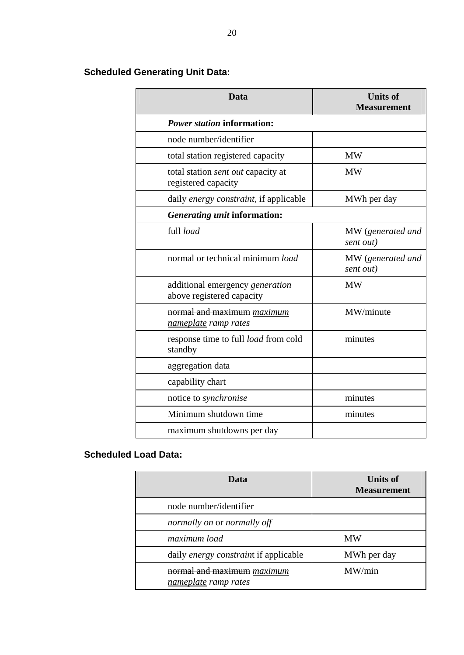| Data                                                                | <b>Units of</b><br><b>Measurement</b> |  |
|---------------------------------------------------------------------|---------------------------------------|--|
| <b>Power station information:</b>                                   |                                       |  |
| node number/identifier                                              |                                       |  |
| total station registered capacity                                   | <b>MW</b>                             |  |
| total station sent out capacity at<br>registered capacity           | <b>MW</b>                             |  |
| daily <i>energy constraint</i> , if applicable                      | MWh per day                           |  |
| Generating unit information:                                        |                                       |  |
| full load                                                           | MW (generated and<br>sent out)        |  |
| normal or technical minimum load                                    | MW (generated and<br>sent out)        |  |
| additional emergency <i>generation</i><br>above registered capacity | <b>MW</b>                             |  |
| normal and maximum <i>maximum</i><br>nameplate ramp rates           | MW/minute                             |  |
| response time to full <i>load</i> from cold<br>standby              | minutes                               |  |
| aggregation data                                                    |                                       |  |
| capability chart                                                    |                                       |  |
| notice to <i>synchronise</i>                                        | minutes                               |  |
| Minimum shutdown time                                               | minutes                               |  |
| maximum shutdowns per day                                           |                                       |  |

# **Scheduled Generating Unit Data:**

# **Scheduled Load Data:**

| Data                                               | Units of<br><b>Measurement</b> |
|----------------------------------------------------|--------------------------------|
| node number/identifier                             |                                |
| normally on or normally off                        |                                |
| maximum load                                       | <b>MW</b>                      |
| daily energy constraint if applicable              | MWh per day                    |
| normal and maximum maximum<br>nameplate ramp rates | MW/min                         |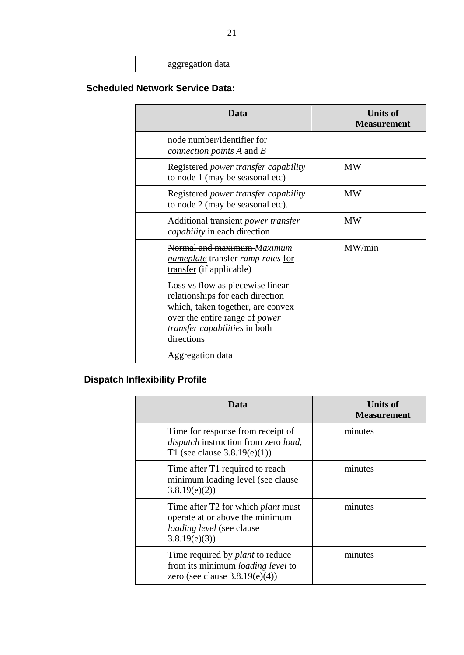| aggregation data |  |
|------------------|--|

# **Scheduled Network Service Data:**

| Data                                                                                                                                                                                                     | <b>Units of</b><br><b>Measurement</b> |
|----------------------------------------------------------------------------------------------------------------------------------------------------------------------------------------------------------|---------------------------------------|
| node number/identifier for<br><i>connection points A and B</i>                                                                                                                                           |                                       |
| Registered power transfer capability<br>to node 1 (may be seasonal etc)                                                                                                                                  | <b>MW</b>                             |
| Registered <i>power transfer capability</i><br>to node 2 (may be seasonal etc).                                                                                                                          | <b>MW</b>                             |
| Additional transient <i>power transfer</i><br><i>capability</i> in each direction                                                                                                                        | <b>MW</b>                             |
| Normal and maximum-Maximum<br>nameplate transfer-ramp rates for<br>transfer (if applicable)                                                                                                              | MW/min                                |
| Loss vs flow as piecewise linear<br>relationships for each direction<br>which, taken together, are convex<br>over the entire range of <i>power</i><br><i>transfer capabilities</i> in both<br>directions |                                       |
| Aggregation data                                                                                                                                                                                         |                                       |

# **Dispatch Inflexibility Profile**

| Data                                                                                                                             | <b>Units of</b><br><b>Measurement</b> |
|----------------------------------------------------------------------------------------------------------------------------------|---------------------------------------|
| Time for response from receipt of<br>dispatch instruction from zero load,<br>T1 (see clause $3.8.19(e)(1)$ )                     | minutes                               |
| Time after T1 required to reach<br>minimum loading level (see clause)<br>3.8.19(e)(2)                                            | minutes                               |
| Time after T2 for which <i>plant</i> must<br>operate at or above the minimum<br><i>loading level</i> (see clause<br>3.8.19(e)(3) | minutes                               |
| Time required by <i>plant</i> to reduce<br>from its minimum loading level to<br>zero (see clause $3.8.19(e)(4)$ )                | minutes                               |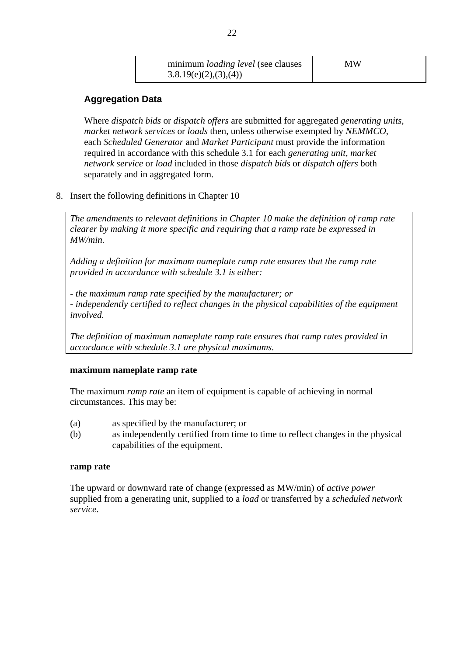# **Aggregation Data**

Where *dispatch bids* or *dispatch offers* are submitted for aggregated *generating units*, *market network services* or *loads* then, unless otherwise exempted by *NEMMCO*, each *Scheduled Generator* and *Market Participant* must provide the information required in accordance with this schedule 3.1 for each *generating unit*, *market network service* or *load* included in those *dispatch bids* or *dispatch offers* both separately and in aggregated form.

8. Insert the following definitions in Chapter 10

*The amendments to relevant definitions in Chapter 10 make the definition of ramp rate clearer by making it more specific and requiring that a ramp rate be expressed in MW/min.* 

*Adding a definition for maximum nameplate ramp rate ensures that the ramp rate provided in accordance with schedule 3.1 is either:* 

*- the maximum ramp rate specified by the manufacturer; or - independently certified to reflect changes in the physical capabilities of the equipment involved.* 

*The definition of maximum nameplate ramp rate ensures that ramp rates provided in accordance with schedule 3.1 are physical maximums.*

#### **maximum nameplate ramp rate**

The maximum *ramp rate* an item of equipment is capable of achieving in normal circumstances. This may be:

- (a) as specified by the manufacturer; or
- (b) as independently certified from time to time to reflect changes in the physical capabilities of the equipment.

#### **ramp rate**

The upward or downward rate of change (expressed as MW/min) of *active power* supplied from a generating unit, supplied to a *load* or transferred by a *scheduled network service*.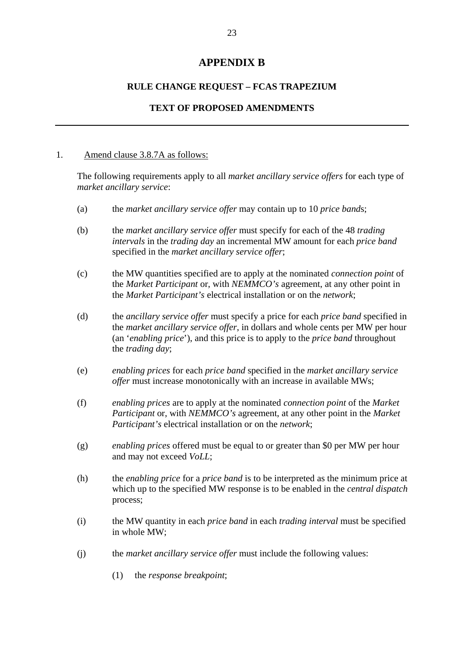## **APPENDIX B**

#### **RULE CHANGE REQUEST – FCAS TRAPEZIUM**

#### **TEXT OF PROPOSED AMENDMENTS**

#### 1. Amend clause 3.8.7A as follows:

The following requirements apply to all *market ancillary service offers* for each type of *market ancillary service*:

- (a) the *market ancillary service offer* may contain up to 10 *price band*s;
- (b) the *market ancillary service offer* must specify for each of the 48 *trading intervals* in the *trading day* an incremental MW amount for each *price band* specified in the *market ancillary service offer*;
- (c) the MW quantities specified are to apply at the nominated *connection point* of the *Market Participant* or, with *NEMMCO's* agreement, at any other point in the *Market Participant's* electrical installation or on the *network*;
- (d) the *ancillary service offer* must specify a price for each *price band* specified in the *market ancillary service offer*, in dollars and whole cents per MW per hour (an '*enabling price*'), and this price is to apply to the *price band* throughout the *trading day*;
- (e) *enabling prices* for each *price band* specified in the *market ancillary service offer* must increase monotonically with an increase in available MWs;
- (f) *enabling prices* are to apply at the nominated *connection point* of the *Market Participant* or, with *NEMMCO's* agreement, at any other point in the *Market Participant's* electrical installation or on the *network*;
- (g) *enabling prices* offered must be equal to or greater than \$0 per MW per hour and may not exceed *VoLL*;
- (h) the *enabling price* for a *price band* is to be interpreted as the minimum price at which up to the specified MW response is to be enabled in the *central dispatch* process;
- (i) the MW quantity in each *price band* in each *trading interval* must be specified in whole MW;
- (j) the *market ancillary service offer* must include the following values:
	- (1) the *response breakpoint*;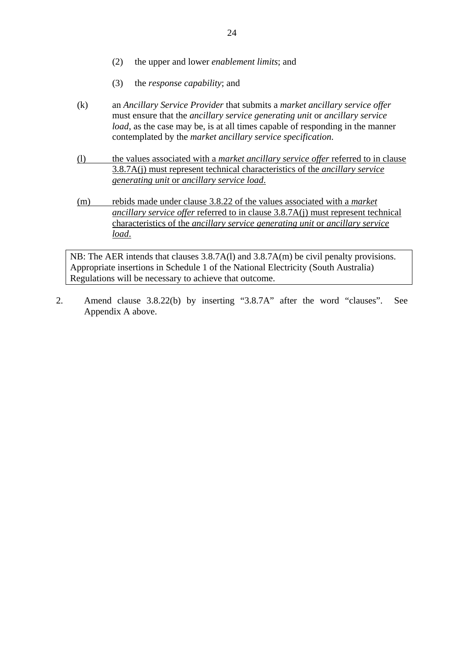- (2) the upper and lower *enablement limits*; and
- (3) the *response capability*; and
- (k) an *Ancillary Service Provider* that submits a *market ancillary service offer* must ensure that the *ancillary service generating unit* or *ancillary service load*, as the case may be, is at all times capable of responding in the manner contemplated by the *market ancillary service specification*.
- (l) the values associated with a *market ancillary service offer* referred to in clause 3.8.7A(j) must represent technical characteristics of the *ancillary service generating unit* or *ancillary service load*.
- (m) rebids made under clause 3.8.22 of the values associated with a *market ancillary service offer* referred to in clause 3.8.7A(j) must represent technical characteristics of the *ancillary service generating unit* or *ancillary service load*.

NB: The AER intends that clauses 3.8.7A(l) and 3.8.7A(m) be civil penalty provisions. Appropriate insertions in Schedule 1 of the National Electricity (South Australia) Regulations will be necessary to achieve that outcome.

2. Amend clause 3.8.22(b) by inserting "3.8.7A" after the word "clauses". See Appendix A above.